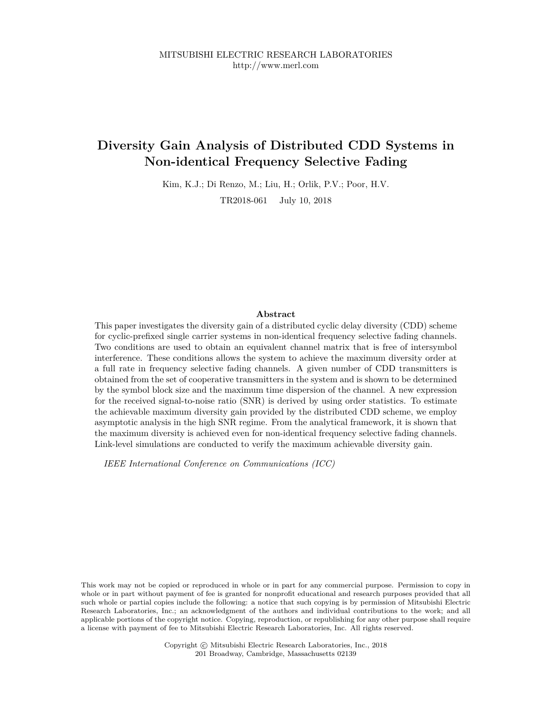# **Diversity Gain Analysis of Distributed CDD Systems in Non-identical Frequency Selective Fading**

Kim, K.J.; Di Renzo, M.; Liu, H.; Orlik, P.V.; Poor, H.V.

TR2018-061 July 10, 2018

# **Abstract**

This paper investigates the diversity gain of a distributed cyclic delay diversity (CDD) scheme for cyclic-prefixed single carrier systems in non-identical frequency selective fading channels. Two conditions are used to obtain an equivalent channel matrix that is free of intersymbol interference. These conditions allows the system to achieve the maximum diversity order at a full rate in frequency selective fading channels. A given number of CDD transmitters is obtained from the set of cooperative transmitters in the system and is shown to be determined by the symbol block size and the maximum time dispersion of the channel. A new expression for the received signal-to-noise ratio (SNR) is derived by using order statistics. To estimate the achievable maximum diversity gain provided by the distributed CDD scheme, we employ asymptotic analysis in the high SNR regime. From the analytical framework, it is shown that the maximum diversity is achieved even for non-identical frequency selective fading channels. Link-level simulations are conducted to verify the maximum achievable diversity gain.

*IEEE International Conference on Communications (ICC)*

This work may not be copied or reproduced in whole or in part for any commercial purpose. Permission to copy in whole or in part without payment of fee is granted for nonprofit educational and research purposes provided that all such whole or partial copies include the following: a notice that such copying is by permission of Mitsubishi Electric Research Laboratories, Inc.; an acknowledgment of the authors and individual contributions to the work; and all applicable portions of the copyright notice. Copying, reproduction, or republishing for any other purpose shall require a license with payment of fee to Mitsubishi Electric Research Laboratories, Inc. All rights reserved.

> Copyright © Mitsubishi Electric Research Laboratories, Inc., 2018 201 Broadway, Cambridge, Massachusetts 02139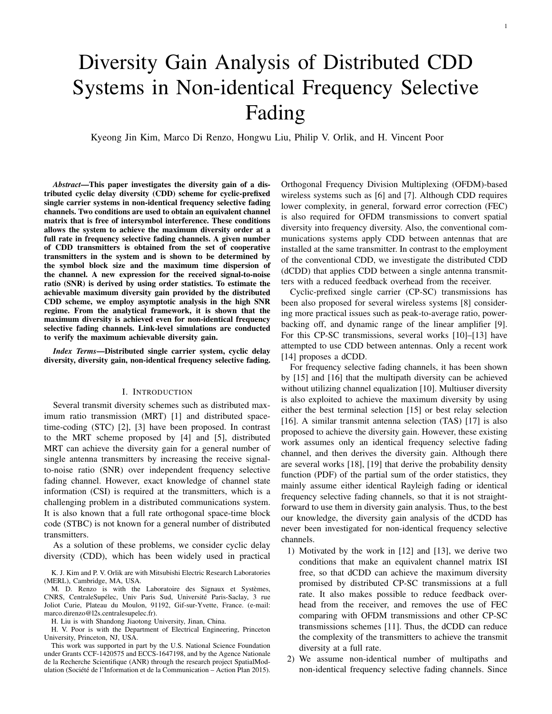# Diversity Gain Analysis of Distributed CDD Systems in Non-identical Frequency Selective Fading

Kyeong Jin Kim, Marco Di Renzo, Hongwu Liu, Philip V. Orlik, and H. Vincent Poor

*Abstract***—This paper investigates the diversity gain of a distributed cyclic delay diversity (CDD) scheme for cyclic-prefixed single carrier systems in non-identical frequency selective fading channels. Two conditions are used to obtain an equivalent channel matrix that is free of intersymbol interference. These conditions allows the system to achieve the maximum diversity order at a full rate in frequency selective fading channels. A given number of CDD transmitters is obtained from the set of cooperative transmitters in the system and is shown to be determined by the symbol block size and the maximum time dispersion of the channel. A new expression for the received signal-to-noise ratio (SNR) is derived by using order statistics. To estimate the achievable maximum diversity gain provided by the distributed CDD scheme, we employ asymptotic analysis in the high SNR regime. From the analytical framework, it is shown that the maximum diversity is achieved even for non-identical frequency selective fading channels. Link-level simulations are conducted to verify the maximum achievable diversity gain.**

*Index Terms***—Distributed single carrier system, cyclic delay diversity, diversity gain, non-identical frequency selective fading.**

#### I. INTRODUCTION

Several transmit diversity schemes such as distributed maximum ratio transmission (MRT) [1] and distributed spacetime-coding (STC) [2], [3] have been proposed. In contrast to the MRT scheme proposed by [4] and [5], distributed MRT can achieve the diversity gain for a general number of single antenna transmitters by increasing the receive signalto-noise ratio (SNR) over independent frequency selective fading channel. However, exact knowledge of channel state information (CSI) is required at the transmitters, which is a challenging problem in a distributed communications system. It is also known that a full rate orthogonal space-time block code (STBC) is not known for a general number of distributed transmitters.

As a solution of these problems, we consider cyclic delay diversity (CDD), which has been widely used in practical

K. J. Kim and P. V. Orlik are with Mitsubishi Electric Research Laboratories (MERL), Cambridge, MA, USA.

M. D. Renzo is with the Laboratoire des Signaux et Systèmes, CNRS, CentraleSupélec, Univ Paris Sud, Université Paris-Saclay, 3 rue Joliot Curie, Plateau du Moulon, 91192, Gif-sur-Yvette, France. (e-mail: marco.direnzo@l2s.centralesupelec.fr).

H. Liu is with Shandong Jiaotong University, Jinan, China.

H. V. Poor is with the Department of Electrical Engineering, Princeton University, Princeton, NJ, USA.

This work was supported in part by the U.S. National Science Foundation under Grants CCF-1420575 and ECCS-1647198, and by the Agence Nationale de la Recherche Scientifique (ANR) through the research project SpatialModulation (Société de l'Information et de la Communication – Action Plan 2015).

Orthogonal Frequency Division Multiplexing (OFDM)-based wireless systems such as [6] and [7]. Although CDD requires lower complexity, in general, forward error correction (FEC) is also required for OFDM transmissions to convert spatial diversity into frequency diversity. Also, the conventional communications systems apply CDD between antennas that are installed at the same transmitter. In contrast to the employment of the conventional CDD, we investigate the distributed CDD (dCDD) that applies CDD between a single antenna transmitters with a reduced feedback overhead from the receiver.

Cyclic-prefixed single carrier (CP-SC) transmissions has been also proposed for several wireless systems [8] considering more practical issues such as peak-to-average ratio, powerbacking off, and dynamic range of the linear amplifier [9]. For this CP-SC transmissions, several works [10]–[13] have attempted to use CDD between antennas. Only a recent work [14] proposes a dCDD.

For frequency selective fading channels, it has been shown by [15] and [16] that the multipath diversity can be achieved without utilizing channel equalization [10]. Multiuser diversity is also exploited to achieve the maximum diversity by using either the best terminal selection [15] or best relay selection [16]. A similar transmit antenna selection (TAS) [17] is also proposed to achieve the diversity gain. However, these existing work assumes only an identical frequency selective fading channel, and then derives the diversity gain. Although there are several works [18], [19] that derive the probability density function (PDF) of the partial sum of the order statistics, they mainly assume either identical Rayleigh fading or identical frequency selective fading channels, so that it is not straightforward to use them in diversity gain analysis. Thus, to the best our knowledge, the diversity gain analysis of the dCDD has never been investigated for non-identical frequency selective channels.

- 1) Motivated by the work in [12] and [13], we derive two conditions that make an equivalent channel matrix ISI free, so that dCDD can achieve the maximum diversity promised by distributed CP-SC transmissions at a full rate. It also makes possible to reduce feedback overhead from the receiver, and removes the use of FEC comparing with OFDM transmissions and other CP-SC transmissions schemes [11]. Thus, the dCDD can reduce the complexity of the transmitters to achieve the transmit diversity at a full rate.
- 2) We assume non-identical number of multipaths and non-identical frequency selective fading channels. Since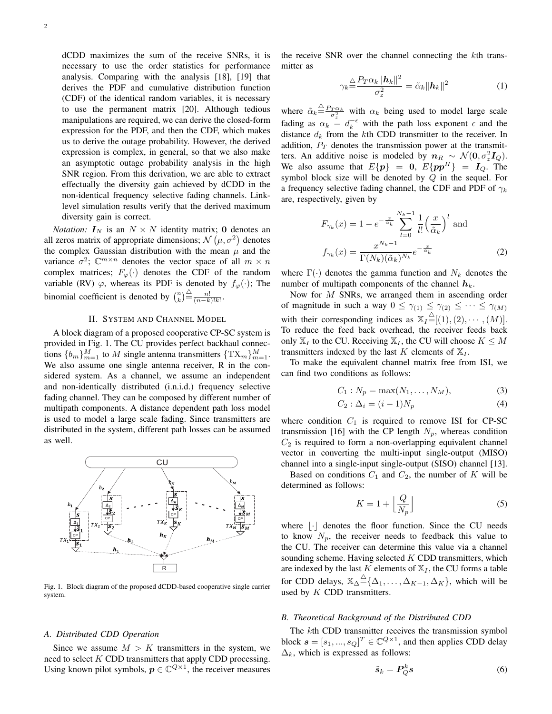dCDD maximizes the sum of the receive SNRs, it is necessary to use the order statistics for performance analysis. Comparing with the analysis [18], [19] that derives the PDF and cumulative distribution function (CDF) of the identical random variables, it is necessary to use the permanent matrix [20]. Although tedious manipulations are required, we can derive the closed-form expression for the PDF, and then the CDF, which makes us to derive the outage probability. However, the derived expression is complex, in general, so that we also make an asymptotic outage probability analysis in the high SNR region. From this derivation, we are able to extract effectually the diversity gain achieved by dCDD in the non-identical frequency selective fading channels. Linklevel simulation results verify that the derived maximum diversity gain is correct.

*Notation:*  $I_N$  is an  $N \times N$  identity matrix; 0 denotes an all zeros matrix of appropriate dimensions;  $\mathcal{N}(\mu, \sigma^2)$  denotes the complex Gaussian distribution with the mean  $\mu$  and the variance  $\sigma^2$ ;  $\mathbb{C}^{m \times n}$  denotes the vector space of all  $m \times n$ complex matrices;  $F_{\varphi}(\cdot)$  denotes the CDF of the random variable (RV)  $\varphi$ , whereas its PDF is denoted by  $f_{\varphi}(\cdot)$ ; The binomial coefficient is denoted by  $\binom{n}{k} \stackrel{\triangle}{=} \frac{n!}{(n-k)!k!}$ .

## II. SYSTEM AND CHANNEL MODEL

A block diagram of a proposed cooperative CP-SC system is provided in Fig. 1. The CU provides perfect backhaul connections  $\{b_m\}_{m=1}^M$  to  $M$  single antenna transmitters  $\{\text{TX}_m\}_{m=1}^M$ . We also assume one single antenna receiver, R in the considered system. As a channel, we assume an independent and non-identically distributed (i.n.i.d.) frequency selective fading channel. They can be composed by different number of multipath components. A distance dependent path loss model is used to model a large scale fading. Since transmitters are distributed in the system, different path losses can be assumed as well.



Fig. 1. Block diagram of the proposed dCDD-based cooperative single carrier system.

#### *A. Distributed CDD Operation*

Since we assume  $M > K$  transmitters in the system, we need to select  $K$  CDD transmitters that apply CDD processing. Using known pilot symbols,  $p \in \mathbb{C}^{Q \times 1}$ , the receiver measures

the receive SNR over the channel connecting the  $k$ th transmitter as

$$
\gamma_k \stackrel{\triangle}{=} \frac{P_T \alpha_k \|\boldsymbol{h}_k\|^2}{\sigma_z^2} = \tilde{\alpha}_k \|\boldsymbol{h}_k\|^2 \tag{1}
$$

where  $\tilde{\alpha}_k \triangleq \frac{P_T \alpha_k}{\sigma_z^2}$  with  $\alpha_k$  being used to model large scale fading as  $\alpha_k = d_k^{-\epsilon}$  with the path loss exponent  $\epsilon$  and the distance  $d_k$  from the kth CDD transmitter to the receiver. In addition,  $P_T$  denotes the transmission power at the transmitters. An additive noise is modeled by  $n_R \sim \mathcal{N}(0, \sigma_z^2 I_Q)$ . We also assume that  $E\{p\} = 0$ ,  $E\{pp^H\} = I_Q$ . The symbol block size will be denoted by  $Q$  in the sequel. For a frequency selective fading channel, the CDF and PDF of  $\gamma_k$ are, respectively, given by

$$
F_{\gamma_k}(x) = 1 - e^{-\frac{x}{\tilde{\alpha}_k}} \sum_{l=0}^{N_k - 1} \frac{1}{l!} \left(\frac{x}{\tilde{\alpha}_k}\right)^l \text{ and}
$$

$$
f_{\gamma_k}(x) = \frac{x^{N_k - 1}}{\Gamma(N_k)(\tilde{\alpha}_k)^{N_k}} e^{-\frac{x}{\tilde{\alpha}_k}}
$$
(2)

where  $\Gamma(\cdot)$  denotes the gamma function and  $N_k$  denotes the number of multipath components of the channel  $h_k$ .

Now for  $M$  SNRs, we arranged them in ascending order of magnitude in such a way  $0 \leq \gamma_{(1)} \leq \gamma_{(2)} \leq \cdots \leq \gamma_{(M)}$ with their corresponding indices as  $\mathbb{X}_I \stackrel{\triangle}{=} [(1), (2), \cdots, (M)].$ To reduce the feed back overhead, the receiver feeds back only  $\mathbb{X}_I$  to the CU. Receiving  $\mathbb{X}_I$ , the CU will choose  $K \leq M$ transmitters indexed by the last  $K$  elements of  $\mathbb{X}_I$ .

To make the equivalent channel matrix free from ISI, we can find two conditions as follows:

$$
C_1: N_p = \max(N_1, \dots, N_M), \tag{3}
$$

$$
C_2: \Delta_i = (i-1)N_p \tag{4}
$$

where condition  $C_1$  is required to remove ISI for CP-SC transmission [16] with the CP length  $N_p$ , whereas condition  $C_2$  is required to form a non-overlapping equivalent channel vector in converting the multi-input single-output (MISO) channel into a single-input single-output (SISO) channel [13].

Based on conditions  $C_1$  and  $C_2$ , the number of K will be determined as follows:

$$
K = 1 + \left\lfloor \frac{Q}{N_p} \right\rfloor \tag{5}
$$

where  $\lvert \cdot \rvert$  denotes the floor function. Since the CU needs to know  $N_p$ , the receiver needs to feedback this value to the CU. The receiver can determine this value via a channel sounding scheme. Having selected  $K$  CDD transmitters, which are indexed by the last K elements of  $X_I$ , the CU forms a table for CDD delays,  $\mathbb{X}_{\Delta} \stackrel{\triangle}{=} \{ \Delta_1, \ldots, \Delta_{K-1}, \Delta_K \}$ , which will be used by  $K$  CDD transmitters.

# *B. Theoretical Background of the Distributed CDD*

The kth CDD transmitter receives the transmission symbol block  $\mathbf{s} = [s_1, ..., s_Q]^T \in \mathbb{C}^{Q \times 1}$ , and then applies CDD delay  $\Delta_k$ , which is expressed as follows:

$$
\tilde{s}_k = P_Q^k s \tag{6}
$$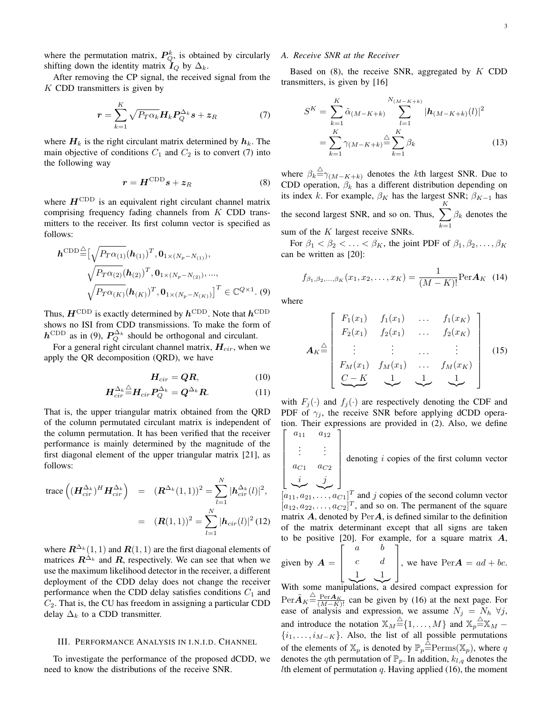where the permutation matrix,  $P_Q^k$ , is obtained by circularly shifting down the identity matrix  $I_Q$  by  $\Delta_k$ .

After removing the CP signal, the received signal from the  $K$  CDD transmitters is given by

$$
\boldsymbol{r} = \sum_{k=1}^{K} \sqrt{P_T \alpha_k} \boldsymbol{H}_k \boldsymbol{P}_Q^{\Delta_k} \boldsymbol{s} + \boldsymbol{z}_R \tag{7}
$$

where  $H_k$  is the right circulant matrix determined by  $h_k$ . The main objective of conditions  $C_1$  and  $C_2$  is to convert (7) into the following way

$$
r = H^{\text{CDD}}s + z_R \tag{8}
$$

where  $H^{\text{CDD}}$  is an equivalent right circulant channel matrix comprising frequency fading channels from  $K$  CDD transmitters to the receiver. Its first column vector is specified as follows:

$$
\boldsymbol{h}^{\text{CDD}} \widehat{=} [\sqrt{P_T \alpha_{(1)}} (\boldsymbol{h}_{(1)})^T, \boldsymbol{0}_{1 \times (N_p - N_{(1)})},
$$

$$
\sqrt{P_T \alpha_{(2)}} (\boldsymbol{h}_{(2)})^T, \boldsymbol{0}_{1 \times (N_p - N_{(2)})}, ...,
$$

$$
\sqrt{P_T \alpha_{(K)}} (\boldsymbol{h}_{(K)})^T, \boldsymbol{0}_{1 \times (N_p - N_{(K)})}]^T \in \mathbb{C}^{Q \times 1}.
$$
(9)

Thus,  $H^{\text{CDD}}$  is exactly determined by  $h^{\text{CDD}}$ . Note that  $h^{\text{CDD}}$ shows no ISI from CDD transmissions. To make the form of  $h^{\text{CDD}}$  as in (9),  $P_Q^{\Delta_k}$  should be orthogonal and circulant.

For a general right circulant channel matrix,  $H_{cir}$ , when we apply the QR decomposition (QRD), we have

$$
H_{cir} = QR, \t\t(10)
$$

$$
\boldsymbol{H}_{cir}^{\Delta_k} \triangleq \boldsymbol{H}_{cir} \boldsymbol{P}_Q^{\Delta_k} = \boldsymbol{Q}^{\Delta_k} \boldsymbol{R}.
$$
 (11)

That is, the upper triangular matrix obtained from the QRD of the column permutated circulant matrix is independent of the column permutation. It has been verified that the receiver performance is mainly determined by the magnitude of the first diagonal element of the upper triangular matrix [21], as follows:

trace 
$$
\left( (\mathbf{H}_{cir}^{\Delta_k})^H \mathbf{H}_{cir}^{\Delta_k} \right)
$$
 =  $(\mathbf{R}^{\Delta_k}(1,1))^2 = \sum_{l=1}^N |\mathbf{h}_{cir}^{\Delta_k}(l)|^2$ ,  
 =  $(\mathbf{R}(1,1))^2 = \sum_{l=1}^N |\mathbf{h}_{cir}(l)|^2 (12)$ 

where  $\mathbf{R}^{\Delta_k}(1,1)$  and  $\mathbf{R}(1, 1)$  are the first diagonal elements of matrices  $\mathbb{R}^{\Delta_k}$  and  $\mathbb{R}$ , respectively. We can see that when we use the maximum likelihood detector in the receiver, a different deployment of the CDD delay does not change the receiver performance when the CDD delay satisfies conditions  $C_1$  and  $C_2$ . That is, the CU has freedom in assigning a particular CDD delay  $\Delta_k$  to a CDD transmitter.

#### III. PERFORMANCE ANALYSIS IN I.N.I.D. CHANNEL

To investigate the performance of the proposed dCDD, we need to know the distributions of the receive SNR.

# *A. Receive SNR at the Receiver*

Based on  $(8)$ , the receive SNR, aggregated by  $K$  CDD transmitters, is given by [16]

$$
S^{K} = \sum_{k=1}^{K} \tilde{\alpha}_{(M-K+k)} \sum_{l=1}^{N_{(M-K+k)}} |\mathbf{h}_{(M-K+k)}(l)|^{2}
$$
  
= 
$$
\sum_{k=1}^{K} \gamma_{(M-K+k)} \stackrel{\triangle}{=} \sum_{k=1}^{K} \beta_{k}
$$
(13)

where  $\beta_k \triangleq \gamma_{(M-K+k)}$  denotes the kth largest SNR. Due to CDD operation,  $\beta_k$  has a different distribution depending on its index k. For example,  $\beta_K$  has the largest SNR;  $\beta_{K-1}$  has the second largest SNR, and so on. Thus,  $\sum_{k=1}^{K}$  $k=1$  $\beta_k$  denotes the sum of the  $K$  largest receive SNRs.

For  $\beta_1 < \beta_2 < \ldots < \beta_K$ , the joint PDF of  $\beta_1, \beta_2, \ldots, \beta_K$ can be written as [20]:

$$
f_{\beta_1, \beta_2, ..., \beta_K}(x_1, x_2, ..., x_K) = \frac{1}{(M - K)!} \text{Per } \mathbf{A}_K \tag{14}
$$

where

 $\vert$  $\overline{\phantom{a}}$  $\overline{\phantom{a}}$  $\overline{\phantom{a}}$  $\overline{\phantom{a}}$  $\overline{a}$ 

$$
\mathbf{A}_{K} \stackrel{\triangle}{=} \begin{bmatrix} F_{1}(x_{1}) & f_{1}(x_{1}) & \cdots & f_{1}(x_{K}) \\ F_{2}(x_{1}) & f_{2}(x_{1}) & \cdots & f_{2}(x_{K}) \\ \vdots & \vdots & \cdots & \vdots \\ F_{M}(x_{1}) & f_{M}(x_{1}) & \cdots & f_{M}(x_{K}) \\ C-K & 1 & 1 & 1 \end{bmatrix}
$$
 (15)

with  $F_j(\cdot)$  and  $f_j(\cdot)$  are respectively denoting the CDF and PDF of  $\gamma_i$ , the receive SNR before applying dCDD operation. Their expressions are provided in (2). Also, we define  $\lceil$  $a_{11} \quad a_{12} \quad$ 

$$
\begin{bmatrix}\n\vdots & \vdots \\
a_{C1} & a_{C2} \\
\vdots & \vdots \\
a_{11}, a_{21}, \dots, a_{C1}\n\end{bmatrix}
$$
\ndenoting *i* copies of the first column vector

 $[a_{12}, a_{22}, \ldots, a_{C2}]^T$ , and so on. The permanent of the square matrix  $\boldsymbol{A}$ , denoted by Per $\boldsymbol{A}$ , is defined similar to the definition of the matrix determinant except that all signs are taken to be positive [20]. For example, for a square matrix  $A$ ,

given by 
$$
\mathbf{A} = \begin{bmatrix} a & b \\ c & d \\ \frac{1}{2} & \frac{1}{2} \end{bmatrix}
$$
, we have  $Per\mathbf{A} = ad + bc$ .

With some manipulations, a desired compact expression for  $\text{Per}\tilde{A}_K \stackrel{\triangle}{=} \frac{\text{Per}A_K}{(M-K)!}$  can be given by (16) at the next page. For ease of analysis and expression, we assume  $N_j = N_h \ \forall j$ , and introduce the notation  $\mathbb{X}_M \stackrel{\triangle}{=} \{1, \ldots, M\}$  and  $\mathbb{X}_p \stackrel{\triangle}{=} \mathbb{X}_M$  - $\{i_1,\ldots,i_{M-K}\}.$  Also, the list of all possible permutations of the elements of  $\mathbb{X}_p$  is denoted by  $\mathbb{P}_p \triangleq \text{Perms}(\mathbb{X}_p)$ , where q denotes the qth permutation of  $\mathbb{P}_p$ . In addition,  $k_{l,q}$  denotes the Ith element of permutation  $q$ . Having applied (16), the moment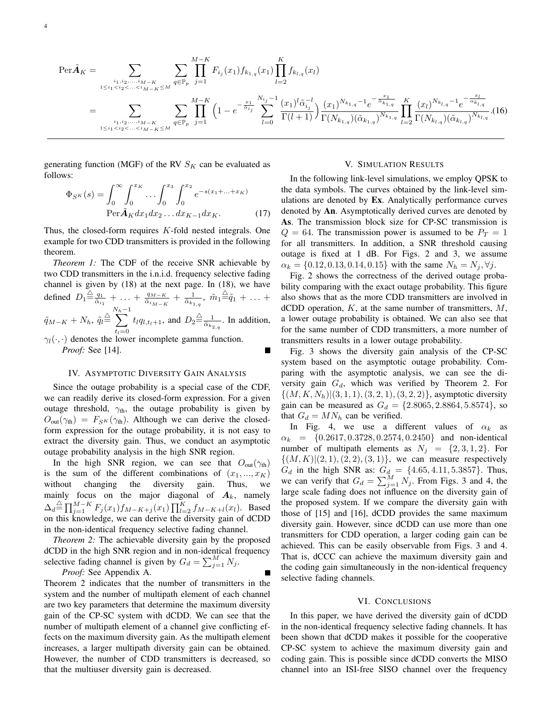$$
\text{Per}\tilde{A}_{K} = \sum_{\substack{i_{1},i_{2},...,i_{M-K} \\ 1 \leq i_{1} < i_{2} < ... < i_{M-K} \leq M}} \sum_{q \in \mathbb{P}_{p}} \prod_{j=1}^{M-K} F_{i_{j}}(x_{1}) f_{k_{1,q}}(x_{1}) \prod_{l=2}^{K} f_{k_{l,q}}(x_{l})
$$
\n
$$
= \sum_{\substack{i_{1},i_{2},...,i_{M-K} \\ 1 \leq i_{1} < i_{2} < ... < i_{M-K} \leq M}} \sum_{q \in \mathbb{P}_{p}} \prod_{j=1}^{M-K} \left(1 - e^{-\frac{x_{1}}{\tilde{\alpha}_{i_{j}}}} \sum_{l=0}^{N_{i_{j}}-1} \frac{(x_{1})^{l} \tilde{\alpha}_{i_{j}}^{-l}}{\Gamma(l+1)} \right) \frac{(x_{1})^{N_{k_{1,q}}-1} e^{-\frac{x_{1}}{\tilde{\alpha}_{k_{1,q}}}}}{\Gamma(N_{k_{1,q}})(\tilde{\alpha}_{k_{1,q}})^{N_{k_{1,q}}}} \prod_{l=2}^{K} \frac{(x_{l})^{N_{k_{l,q}}-1} e^{-\frac{x_{l}}{\tilde{\alpha}_{k_{l,q}}}}}{\Gamma(N_{k_{l,q}})(\tilde{\alpha}_{k_{l,q}})^{N_{k_{l,q}}}} \cdot (16)
$$

generating function (MGF) of the RV  $S_K$  can be evaluated as follows:

$$
\Phi_{S^K}(s) = \int_0^\infty \int_0^{x_K} \dots \int_0^{x_3} \int_0^{x_2} e^{-s(x_1 + \dots + x_K)}
$$
  
\n
$$
\text{Per}\,\tilde{A}_K dx_1 dx_2 \dots dx_{K-1} dx_K.
$$
 (17)

Thus, the closed-form requires  $K$ -fold nested integrals. One example for two CDD transmitters is provided in the following theorem.

*Theorem 1:* The CDF of the receive SNR achievable by two CDD transmitters in the i.n.i.d. frequency selective fading channel is given by (18) at the next page. In (18), we have defined  $D_1 \triangleq \frac{q_1}{\tilde{\alpha}_{i_1}} + \ldots + \frac{q_{M-K}}{\tilde{\alpha}_{i_{M-K}}} + \frac{1}{\tilde{\alpha}_{i_{1,q}}}$ ,  $\tilde{m}_1 \triangleq \tilde{q}_1 + \ldots +$  $\tilde{q}_{M-K} + N_h, \, \tilde{q}_l \stackrel{\triangle}{=}$  $\sum_{k=1}^{N_h-1}$  $t_l = 0$  $t_l q_{l,t_l+1}$ , and  $D_2 \stackrel{\triangle}{=} \frac{1}{\tilde{\alpha}_{k_{2,q}}}$ . In addition,  $\gamma_l(\cdot, \cdot)$  denotes the lower incomplete gamma function. *Proof:* See [14].

## IV. ASYMPTOTIC DIVERSITY GAIN ANALYSIS

Since the outage probability is a special case of the CDF, we can readily derive its closed-form expression. For a given outage threshold,  $\gamma_{th}$ , the outage probability is given by  $O_{\text{out}}(\gamma_{\text{th}}) = F_{S^K}(\gamma_{\text{th}})$ . Although we can derive the closedform expression for the outage probability, it is not easy to extract the diversity gain. Thus, we conduct an asymptotic outage probability analysis in the high SNR region.

In the high SNR region, we can see that  $O_{\text{out}}(\gamma_{\text{th}})$ is the sum of the different combinations of  $(x_1, ..., x_K)$ without changing the diversity gain. Thus, we mainly focus on the major diagonal of  $A_k$ , namely  $\Delta_d \stackrel{\triangle}{=} \prod_{j=1}^{M-K} F_j(x_1) f_{M-K+j}(x_1) \prod_{l=2}^K f_{M-K+l}(x_l)$ . Based on this knowledge, we can derive the diversity gain of dCDD in the non-identical frequency selective fading channel.

*Theorem 2:* The achievable diversity gain by the proposed dCDD in the high SNR region and in non-identical frequency selective fading channel is given by  $G_d = \sum_{j=1}^{M} N_j$ .

*Proof:* See Appendix A.

Theorem 2 indicates that the number of transmitters in the system and the number of multipath element of each channel are two key parameters that determine the maximum diversity gain of the CP-SC system with dCDD. We can see that the number of multipath element of a channel give conflicting effects on the maximum diversity gain. As the multipath element increases, a larger multipath diversity gain can be obtained. However, the number of CDD transmitters is decreased, so that the multiuser diversity gain is decreased.

# V. SIMULATION RESULTS

In the following link-level simulations, we employ QPSK to the data symbols. The curves obtained by the link-level simulations are denoted by **Ex**. Analytically performance curves denoted by **An**. Asymptotically derived curves are denoted by **As**. The transmission block size for CP-SC transmission is  $Q = 64$ . The transmission power is assumed to be  $P_T = 1$ for all transmitters. In addition, a SNR threshold causing outage is fixed at 1 dB. For Figs. 2 and 3, we assume  $\alpha_k = \{0.12, 0.13, 0.14, 0.15\}$  with the same  $N_h = N_j, \forall j$ .

Fig. 2 shows the correctness of the derived outage probability comparing with the exact outage probability. This figure also shows that as the more CDD transmitters are involved in dCDD operation,  $K$ , at the same number of transmitters,  $M$ , a lower outage probability is obtained. We can also see that for the same number of CDD transmitters, a more number of transmitters results in a lower outage probability.

Fig. 3 shows the diversity gain analysis of the CP-SC system based on the asymptotic outage probability. Comparing with the asymptotic analysis, we can see the diversity gain  $G_d$ , which was verified by Theorem 2. For  $\{(M, K, N_h) | (3, 1, 1), (3, 2, 1), (3, 2, 2)\}\$ , asymptotic diversity gain can be measured as  $G_d = \{2.8065, 2.8864, 5.8574\}$ , so that  $G_d = M N_h$  can be verified.

In Fig. 4, we use a different values of  $\alpha_k$  as  $\alpha_k = \{0.2617, 0.3728, 0.2574, 0.2450\}$  and non-identical number of multipath elements as  $N_j = \{2, 3, 1, 2\}$ . For  $\{(M,K)|(2, 1), (2, 2), (3, 1)\}\)$ , we can measure respectively  $G_d$  in the high SNR as:  $G_d = \{4.65, 4.11, 5.3857\}$ . Thus, we can verify that  $G_d = \sum_{j=1}^{M} N_j$ . From Figs. 3 and 4, the large scale fading does not influence on the diversity gain of the proposed system. If we compare the diversity gain with those of [15] and [16], dCDD provides the same maximum diversity gain. However, since dCDD can use more than one transmitters for CDD operation, a larger coding gain can be achieved. This can be easily observable from Figs. 3 and 4. That is, dCCC can achieve the maximum diversity gain and the coding gain simultaneously in the non-identical frequency selective fading channels.

#### VI. CONCLUSIONS

In this paper, we have derived the diversity gain of dCDD in the non-identical frequency selective fading channels. It has been shown that dCDD makes it possible for the cooperative CP-SC system to achieve the maximum diversity gain and coding gain. This is possible since dCDD converts the MISO channel into an ISI-free SISO channel over the frequency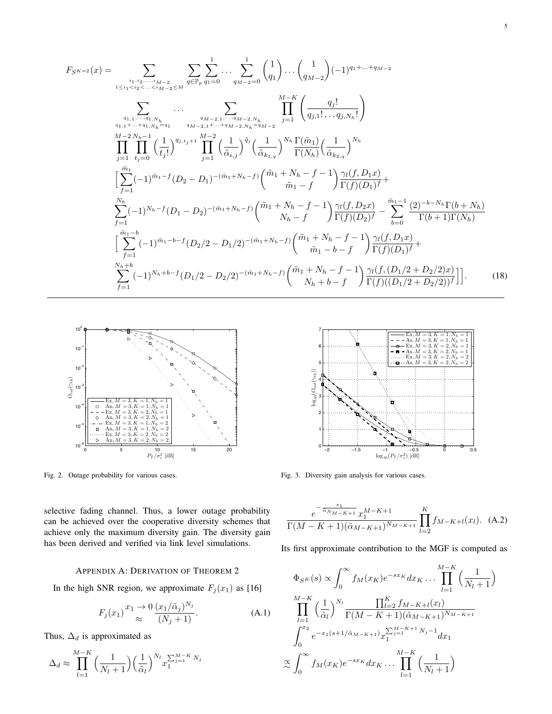$$
F_{S^{K=2}}(x) = \sum_{\substack{i_1, i_2, \ldots, i_{M-2} \le M \\ i_1 < i_2 < \ldots < i_{M-2} \le M}} \sum_{q \in \mathbb{P}_p} \sum_{q_1=0}^{1} \ldots \sum_{q_{M-2}=0}^{1} {1 \choose q_1} \ldots {1 \choose q_{M-2}} (-1)^{q_1 + \ldots + q_{M-2}}
$$
  
\n
$$
\cdots \sum_{\substack{q_1, \ldots, q_{1, N_h} \ne q_1 \\ q_{1,1} + \ldots + q_{1, N_h} = q_1}} \cdots \sum_{\substack{q_{M-2,1} + \ldots + q_{M-2, N_h} \\ q_{M-2,1} + \ldots + q_{M-2, N_h} = q_{M-2}}} \prod_{j=1}^{M-K} {1 \choose \overline{q_{j1}! \ldots q_{j,N_h}!}} \left( \frac{q_j!}{q_{j1}! \ldots q_{j,N_h}!} \right)
$$
  
\n
$$
\prod_{j=1}^{M-2} \prod_{t_j=0}^{N_h-1} {1 \choose t_j!} \binom{1}{j}^{q_{j,t_j+1}} \prod_{j=1}^{M-2} {1 \choose \overline{\alpha}_{i,j}}^{\overline{q}_j} {1 \choose \overline{\alpha}_{k,1,q}}^{\overline{q}_j} \left( \frac{1}{\overline{\alpha}_{k,1,q}} \right)^{N_h} \frac{\Gamma(\tilde{m}_1)}{\Gamma(N_h)} \left( \frac{1}{\overline{\alpha}_{k,2,q}} \right)^{N_h}
$$
  
\n
$$
\sum_{f=1}^{\tilde{m}_1} (-1)^{\tilde{m}_1-f} (D_2 - D_1)^{-(\tilde{m}_1+N_h-f)} \binom{\tilde{m}_1+N_h-f-1}{\tilde{m}_1-f} \binom{\gamma_f D_1}{\Gamma(f)(D_1)} f +
$$
  
\n
$$
\sum_{f=1}^{N_h} (-1)^{N_h-f} (D_1 - D_2)^{-(\tilde{m}_1+N_h-f)} \binom{\tilde{m}_1+N_h-f-1}{N_h-f} \frac{\gamma_l(f, D_2x)}{\Gamma(f)(D_2)} f - \sum_{b=0}^{\tilde{m}_1-1} \frac{(2)^{-b-N_h} \Gamma(b+N_h)}{\Gamma
$$



Fig. 2. Outage probability for various cases.



Fig. 3. Diversity gain analysis for various cases.

$$
\frac{e^{-\frac{x_1}{\alpha_{N_M-K+1}}}x_1^{M-K+1}}{\Gamma(M-K+1)(\tilde{\alpha}_{M-K+1})^{N_{M-K+1}}}\prod_{l=2}^K f_{M-K+l}(x_l). \quad (A.2)
$$

Its first approximate contribution to the MGF is computed as

$$
\Phi_{S^K}(s) \propto \int_0^\infty f_M(x_K) e^{-sx_K} dx_K \dots \prod_{l=1}^{M-K} \left(\frac{1}{N_l+1}\right)
$$
\n
$$
\prod_{l=1}^{M-K} \left(\frac{1}{\tilde{\alpha}_l}\right)^{N_l} \frac{\prod_{l=2}^K f_{M-K+l}(x_l)}{\Gamma(M-K+1)(\tilde{\alpha}_{M-K+1})^{N_{M-K+1}}}
$$
\n
$$
\int_0^{x_2} e^{-x_1(s+1/\tilde{\alpha}_{M-K+1})} x_1^{\sum_{j=1}^{M-K+1} N_j - 1} dx_1
$$
\n
$$
\propto \int_0^\infty f_M(x_K) e^{-sx_K} dx_K \dots \prod_{l=1}^{M-K} \left(\frac{1}{N_l+1}\right)
$$

selective fading channel. Thus, a lower outage probability can be achieved over the cooperative diversity schemes that achieve only the maximum diversity gain. The diversity gain has been derived and verified via link level simulations.

# APPENDIX A: DERIVATION OF THEOREM 2

In the high SNR region, we approximate  $F_j(x_1)$  as [16]

$$
F_j(x_1) \stackrel{x_1 \to 0}{\approx} \frac{(x_1/\tilde{\alpha}_j)^{N_j}}{(N_j+1)}.
$$
 (A.1)

Thus,  $\Delta_d$  is approximated as

$$
\Delta_d \approx \prod_{l=1}^{M-K} \left(\frac{1}{N_l+1}\right) \left(\frac{1}{\tilde{\alpha}_l}\right)^{N_l} x_1^{\sum_{j=1}^{M-K} N_j}
$$